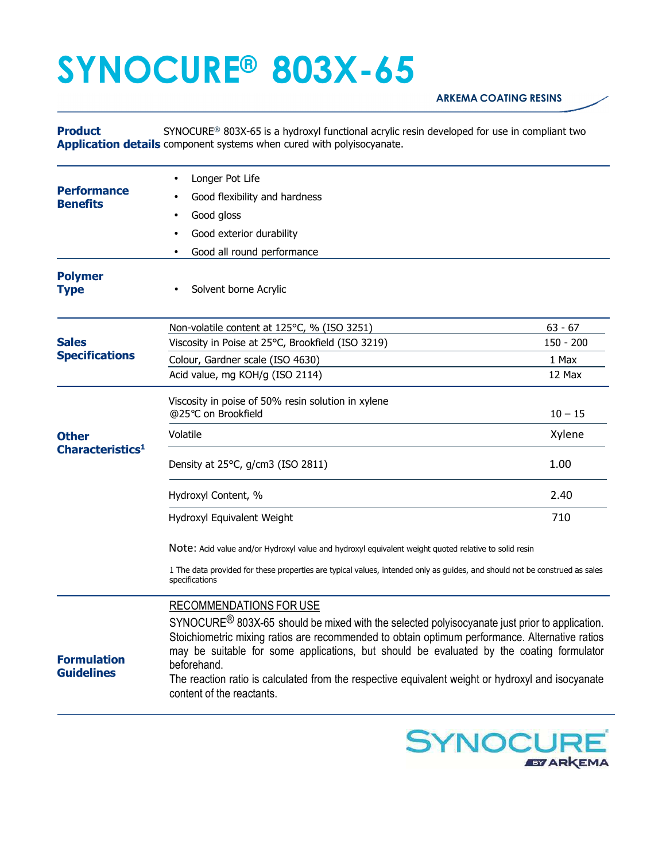## **SYNOCURE® 803X-65**

## **ARKEMA COATING RESINS**

**Product Application details** component systems when cured with polyisocyanate. SYNOCURE® 803X-65 is a hydroxyl functional acrylic resin developed for use in compliant two

| <b>Performance</b><br><b>Benefits</b>        | Longer Pot Life<br>Good flexibility and hardness<br>Good gloss<br>Good exterior durability<br>Good all round performance                                                                                                                                                                                                                                                                                                                                                            |                                             |
|----------------------------------------------|-------------------------------------------------------------------------------------------------------------------------------------------------------------------------------------------------------------------------------------------------------------------------------------------------------------------------------------------------------------------------------------------------------------------------------------------------------------------------------------|---------------------------------------------|
| <b>Polymer</b><br><b>Type</b>                | Solvent borne Acrylic                                                                                                                                                                                                                                                                                                                                                                                                                                                               |                                             |
| <b>Sales</b><br><b>Specifications</b>        | Non-volatile content at 125°C, % (ISO 3251)<br>Viscosity in Poise at 25°C, Brookfield (ISO 3219)<br>Colour, Gardner scale (ISO 4630)<br>Acid value, mg KOH/g (ISO 2114)                                                                                                                                                                                                                                                                                                             | $63 - 67$<br>$150 - 200$<br>1 Max<br>12 Max |
| <b>Other</b><br>Characteristics <sup>1</sup> | Viscosity in poise of 50% resin solution in xylene<br>@25°C on Brookfield<br>Volatile<br>Density at 25°C, g/cm3 (ISO 2811)                                                                                                                                                                                                                                                                                                                                                          | $10 - 15$<br>Xylene<br>1.00                 |
|                                              | Hydroxyl Content, %<br>Hydroxyl Equivalent Weight<br>NOte: Acid value and/or Hydroxyl value and hydroxyl equivalent weight quoted relative to solid resin<br>1 The data provided for these properties are typical values, intended only as guides, and should not be construed as sales<br>specifications                                                                                                                                                                           | 2.40<br>710                                 |
| <b>Formulation</b><br><b>Guidelines</b>      | RECOMMENDATIONS FOR USE<br>SYNOCURE <sup>®</sup> 803X-65 should be mixed with the selected polyisocyanate just prior to application.<br>Stoichiometric mixing ratios are recommended to obtain optimum performance. Alternative ratios<br>may be suitable for some applications, but should be evaluated by the coating formulator<br>beforehand.<br>The reaction ratio is calculated from the respective equivalent weight or hydroxyl and isocyanate<br>content of the reactants. |                                             |